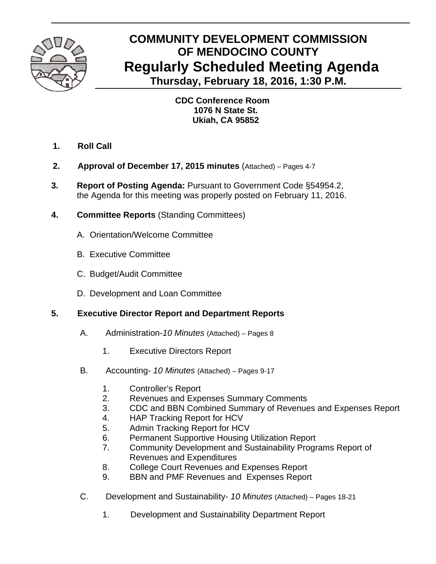

# **COMMUNITY DEVELOPMENT COMMISSION OF MENDOCINO COUNTY Regularly Scheduled Meeting Agenda Thursday, February 18, 2016, 1:30 P.M.**

 **CDC Conference Room 1076 N State St. Ukiah, CA 95852** 

- **1. Roll Call**
- **2. Approval of December 17, 2015 minutes** (Attached) Pages 4-7
- **3. Report of Posting Agenda:** Pursuant to Government Code §54954.2, the Agenda for this meeting was properly posted on February 11, 2016.
- **4. Committee Reports** (Standing Committees)
	- A.Orientation/Welcome Committee
	- B. Executive Committee
	- C. Budget/Audit Committee
	- D. Development and Loan Committee

# **5. Executive Director Report and Department Reports**

- A. Administration-*10 Minutes* (Attached) Pages 8
	- 1. Executive Directors Report
- B. Accounting- *10 Minutes* (Attached) Pages 9-17
	- 1. Controller's Report
	- 2. Revenues and Expenses Summary Comments
	- 3. CDC and BBN Combined Summary of Revenues and Expenses Report
	- 4. HAP Tracking Report for HCV
	- 5. Admin Tracking Report for HCV
	- 6. Permanent Supportive Housing Utilization Report
	- 7. Community Development and Sustainability Programs Report of Revenues and Expenditures
	- 8. College Court Revenues and Expenses Report
	- 9. BBN and PMF Revenues and Expenses Report
- C. Development and Sustainability- *10 Minutes* (Attached) Pages 18-21
	- 1. Development and Sustainability Department Report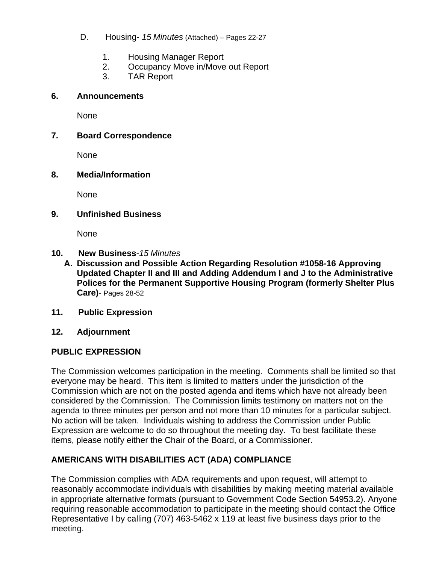- D. Housing- *15 Minutes* (Attached) *–* Pages 22-27
	- 1. Housing Manager Report
	- 2. Occupancy Move in/Move out Report
	- 3. TAR Report

#### **6. Announcements**

None

### **7. Board Correspondence**

None

#### **8. Media/Information**

None

#### **9. Unfinished Business**

None

#### **10. New Business***-15 Minutes*

- **A. Discussion and Possible Action Regarding Resolution #1058-16 Approving Updated Chapter II and III and Adding Addendum I and J to the Administrative Polices for the Permanent Supportive Housing Program (formerly Shelter Plus Care)**- Pages 28-52
- **11. Public Expression**
- **12. Adjournment**

## **PUBLIC EXPRESSION**

The Commission welcomes participation in the meeting. Comments shall be limited so that everyone may be heard. This item is limited to matters under the jurisdiction of the Commission which are not on the posted agenda and items which have not already been considered by the Commission. The Commission limits testimony on matters not on the agenda to three minutes per person and not more than 10 minutes for a particular subject. No action will be taken. Individuals wishing to address the Commission under Public Expression are welcome to do so throughout the meeting day. To best facilitate these items, please notify either the Chair of the Board, or a Commissioner.

# **AMERICANS WITH DISABILITIES ACT (ADA) COMPLIANCE**

The Commission complies with ADA requirements and upon request, will attempt to reasonably accommodate individuals with disabilities by making meeting material available in appropriate alternative formats (pursuant to Government Code Section 54953.2). Anyone requiring reasonable accommodation to participate in the meeting should contact the Office Representative I by calling (707) 463-5462 x 119 at least five business days prior to the meeting.